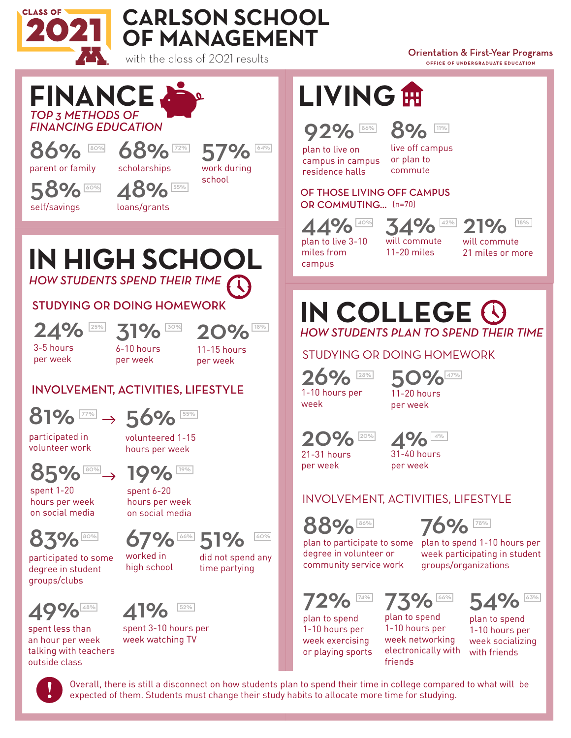



with the class of 2021 results

**Orientation & First-Year Programs** OFFICE OF UNDERGRADUATE EDUCATION



Overall, there is still a disconnect on how students plan to spend their time in college compared to what will be expected of them. Students must change their study habits to allocate more time for studying.